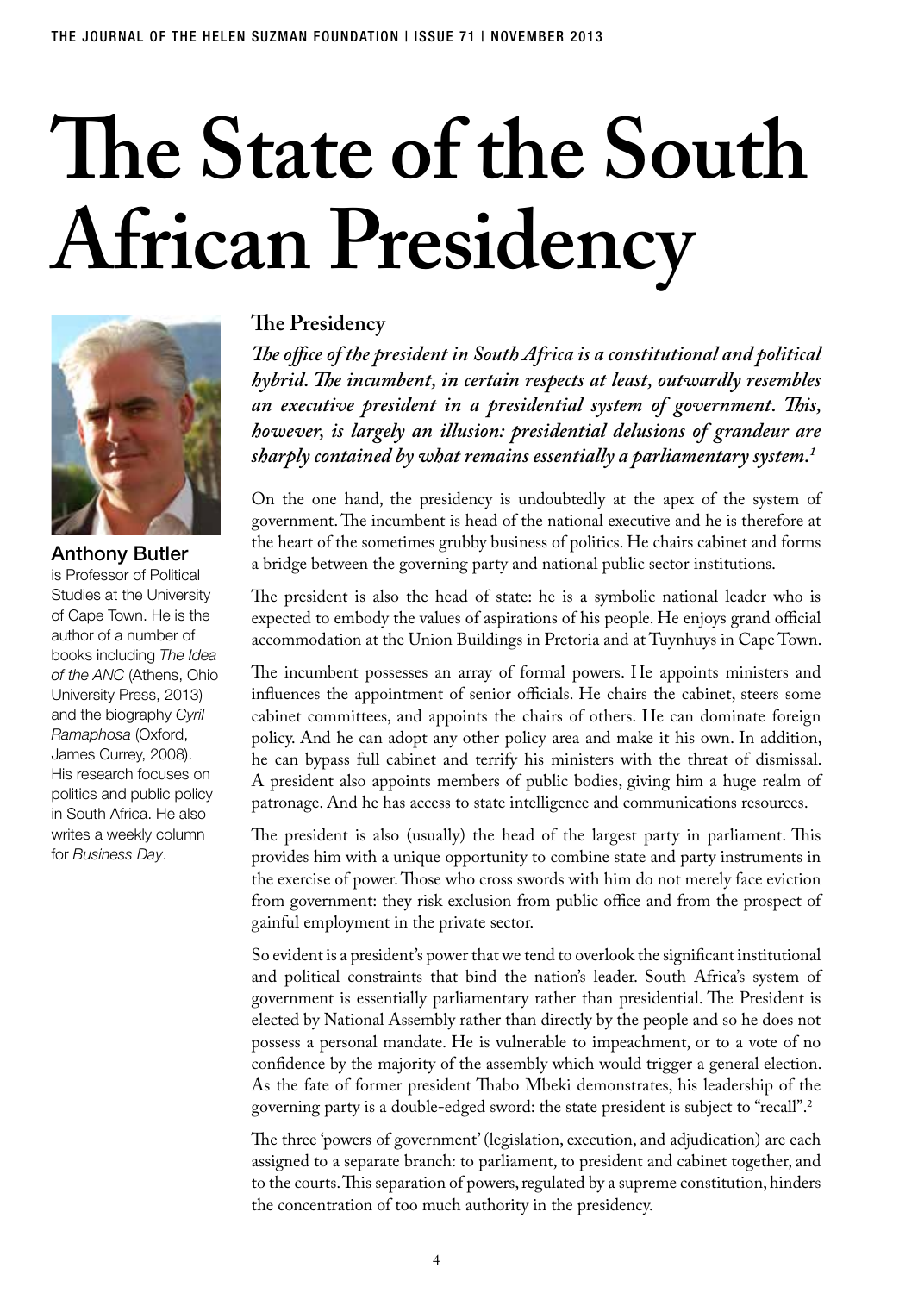# **The State of the South African Presidency**



Anthony Butler is Professor of Political Studies at the University of Cape Town. He is the author of a number of books including *The Idea of the ANC* (Athens, Ohio University Press, 2013) and the biography *Cyril Ramaphosa* (Oxford, James Currey, 2008). His research focuses on politics and public policy in South Africa. He also writes a weekly column for *Business Day*.

## **The Presidency**

*The office of the president in South Africa is a constitutional and political hybrid. The incumbent, in certain respects at least, outwardly resembles an executive president in a presidential system of government. This, however, is largely an illusion: presidential delusions of grandeur are sharply contained by what remains essentially a parliamentary system.1*

On the one hand, the presidency is undoubtedly at the apex of the system of government. The incumbent is head of the national executive and he is therefore at the heart of the sometimes grubby business of politics. He chairs cabinet and forms a bridge between the governing party and national public sector institutions.

The president is also the head of state: he is a symbolic national leader who is expected to embody the values of aspirations of his people. He enjoys grand official accommodation at the Union Buildings in Pretoria and at Tuynhuys in Cape Town.

The incumbent possesses an array of formal powers. He appoints ministers and influences the appointment of senior officials. He chairs the cabinet, steers some cabinet committees, and appoints the chairs of others. He can dominate foreign policy. And he can adopt any other policy area and make it his own. In addition, he can bypass full cabinet and terrify his ministers with the threat of dismissal. A president also appoints members of public bodies, giving him a huge realm of patronage. And he has access to state intelligence and communications resources.

The president is also (usually) the head of the largest party in parliament. This provides him with a unique opportunity to combine state and party instruments in the exercise of power. Those who cross swords with him do not merely face eviction from government: they risk exclusion from public office and from the prospect of gainful employment in the private sector.

So evident is a president's power that we tend to overlook the significant institutional and political constraints that bind the nation's leader. South Africa's system of government is essentially parliamentary rather than presidential. The President is elected by National Assembly rather than directly by the people and so he does not possess a personal mandate. He is vulnerable to impeachment, or to a vote of no confidence by the majority of the assembly which would trigger a general election. As the fate of former president Thabo Mbeki demonstrates, his leadership of the governing party is a double-edged sword: the state president is subject to "recall".2

The three 'powers of government' (legislation, execution, and adjudication) are each assigned to a separate branch: to parliament, to president and cabinet together, and to the courts. This separation of powers, regulated by a supreme constitution, hinders the concentration of too much authority in the presidency.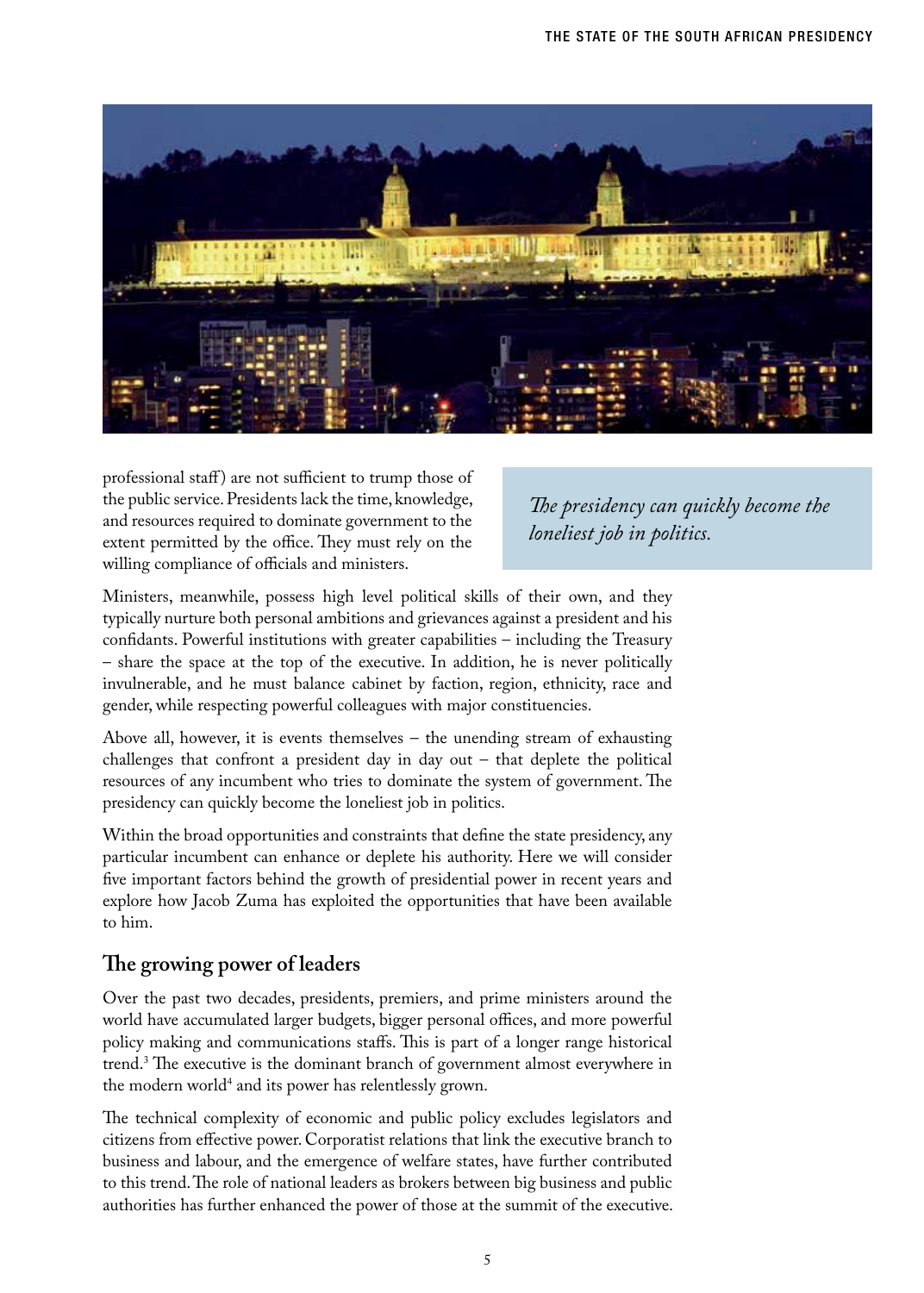

professional staff) are not sufficient to trump those of the public service. Presidents lack the time, knowledge, and resources required to dominate government to the extent permitted by the office. They must rely on the willing compliance of officials and ministers.

*The presidency can quickly become the loneliest job in politics.*

Ministers, meanwhile, possess high level political skills of their own, and they typically nurture both personal ambitions and grievances against a president and his confidants. Powerful institutions with greater capabilities – including the Treasury – share the space at the top of the executive. In addition, he is never politically invulnerable, and he must balance cabinet by faction, region, ethnicity, race and gender, while respecting powerful colleagues with major constituencies.

Above all, however, it is events themselves – the unending stream of exhausting challenges that confront a president day in day out – that deplete the political resources of any incumbent who tries to dominate the system of government. The presidency can quickly become the loneliest job in politics.

Within the broad opportunities and constraints that define the state presidency, any particular incumbent can enhance or deplete his authority. Here we will consider five important factors behind the growth of presidential power in recent years and explore how Jacob Zuma has exploited the opportunities that have been available to him.

### **The growing power of leaders**

Over the past two decades, presidents, premiers, and prime ministers around the world have accumulated larger budgets, bigger personal offices, and more powerful policy making and communications staffs. This is part of a longer range historical trend.3 The executive is the dominant branch of government almost everywhere in the modern world4 and its power has relentlessly grown.

The technical complexity of economic and public policy excludes legislators and citizens from effective power. Corporatist relations that link the executive branch to business and labour, and the emergence of welfare states, have further contributed to this trend. The role of national leaders as brokers between big business and public authorities has further enhanced the power of those at the summit of the executive.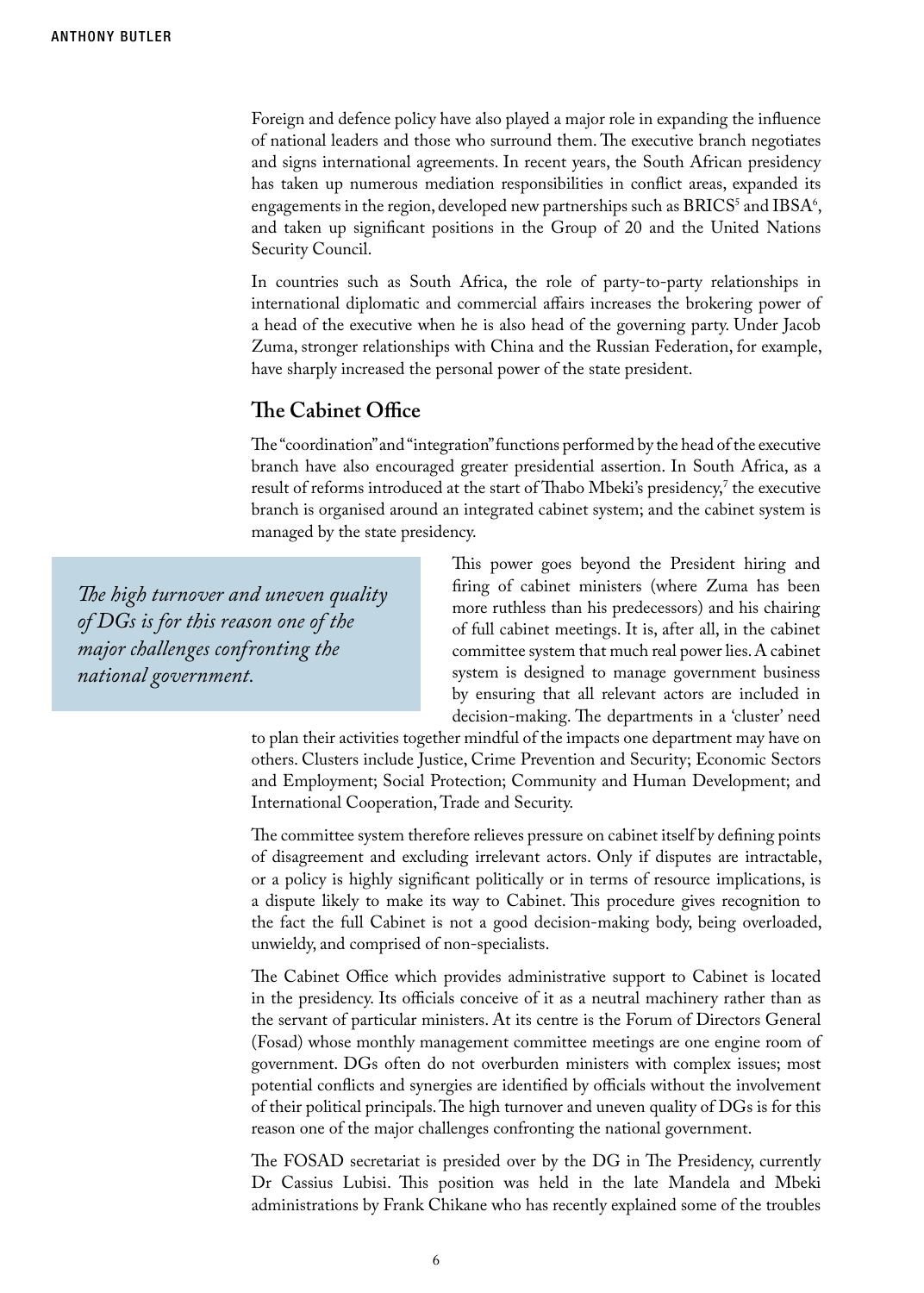Foreign and defence policy have also played a major role in expanding the influence of national leaders and those who surround them. The executive branch negotiates and signs international agreements. In recent years, the South African presidency has taken up numerous mediation responsibilities in conflict areas, expanded its engagements in the region, developed new partnerships such as  $\text{BRICS}^3$  and  $\text{IBSA}^6,$ and taken up significant positions in the Group of 20 and the United Nations Security Council.

In countries such as South Africa, the role of party-to-party relationships in international diplomatic and commercial affairs increases the brokering power of a head of the executive when he is also head of the governing party. Under Jacob Zuma, stronger relationships with China and the Russian Federation, for example, have sharply increased the personal power of the state president.

#### **The Cabinet Office**

The "coordination" and "integration" functions performed by the head of the executive branch have also encouraged greater presidential assertion. In South Africa, as a result of reforms introduced at the start of Thabo Mbeki's presidency,' the executive branch is organised around an integrated cabinet system; and the cabinet system is managed by the state presidency.

*The high turnover and uneven quality of DGs is for this reason one of the major challenges confronting the national government.*

This power goes beyond the President hiring and firing of cabinet ministers (where Zuma has been more ruthless than his predecessors) and his chairing of full cabinet meetings. It is, after all, in the cabinet committee system that much real power lies. A cabinet system is designed to manage government business by ensuring that all relevant actors are included in decision-making. The departments in a 'cluster' need

to plan their activities together mindful of the impacts one department may have on others. Clusters include Justice, Crime Prevention and Security; Economic Sectors and Employment; Social Protection; Community and Human Development; and International Cooperation, Trade and Security.

The committee system therefore relieves pressure on cabinet itself by defining points of disagreement and excluding irrelevant actors. Only if disputes are intractable, or a policy is highly significant politically or in terms of resource implications, is a dispute likely to make its way to Cabinet. This procedure gives recognition to the fact the full Cabinet is not a good decision-making body, being overloaded, unwieldy, and comprised of non-specialists.

The Cabinet Office which provides administrative support to Cabinet is located in the presidency. Its officials conceive of it as a neutral machinery rather than as the servant of particular ministers. At its centre is the Forum of Directors General (Fosad) whose monthly management committee meetings are one engine room of government. DGs often do not overburden ministers with complex issues; most potential conflicts and synergies are identified by officials without the involvement of their political principals. The high turnover and uneven quality of DGs is for this reason one of the major challenges confronting the national government.

The FOSAD secretariat is presided over by the DG in The Presidency, currently Dr Cassius Lubisi. This position was held in the late Mandela and Mbeki administrations by Frank Chikane who has recently explained some of the troubles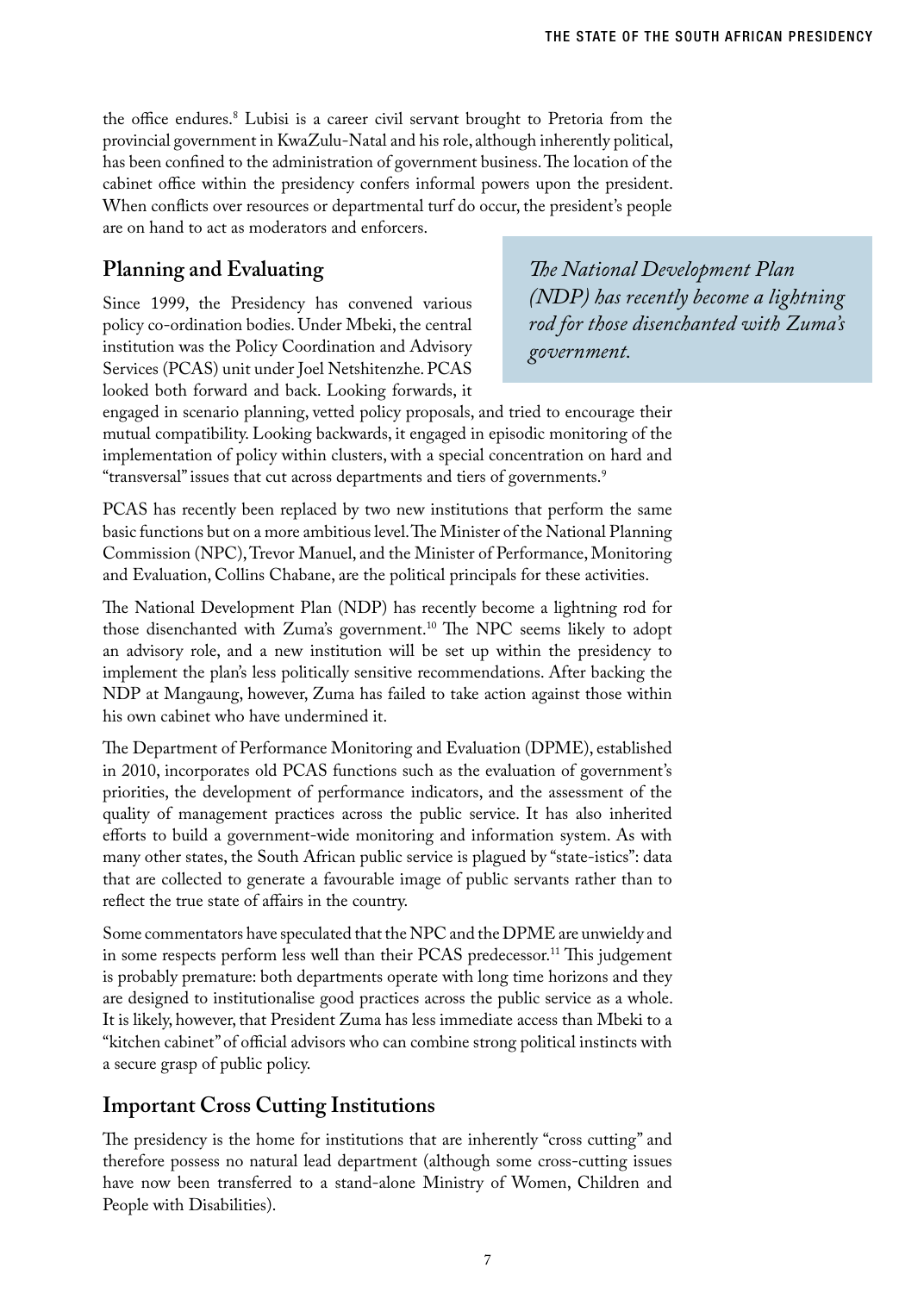the office endures.8 Lubisi is a career civil servant brought to Pretoria from the provincial government in KwaZulu-Natal and his role, although inherently political, has been confined to the administration of government business. The location of the cabinet office within the presidency confers informal powers upon the president. When conflicts over resources or departmental turf do occur, the president's people are on hand to act as moderators and enforcers.

## **Planning and Evaluating**

Since 1999, the Presidency has convened various policy co-ordination bodies. Under Mbeki, the central institution was the Policy Coordination and Advisory Services (PCAS) unit under Joel Netshitenzhe. PCAS looked both forward and back. Looking forwards, it

*The National Development Plan (NDP) has recently become a lightning rod for those disenchanted with Zuma's government.*

engaged in scenario planning, vetted policy proposals, and tried to encourage their mutual compatibility. Looking backwards, it engaged in episodic monitoring of the implementation of policy within clusters, with a special concentration on hard and "transversal" issues that cut across departments and tiers of governments.9

PCAS has recently been replaced by two new institutions that perform the same basic functions but on a more ambitious level. The Minister of the National Planning Commission (NPC), Trevor Manuel, and the Minister of Performance, Monitoring and Evaluation, Collins Chabane, are the political principals for these activities.

The National Development Plan (NDP) has recently become a lightning rod for those disenchanted with Zuma's government.10 The NPC seems likely to adopt an advisory role, and a new institution will be set up within the presidency to implement the plan's less politically sensitive recommendations. After backing the NDP at Mangaung, however, Zuma has failed to take action against those within his own cabinet who have undermined it.

The Department of Performance Monitoring and Evaluation (DPME), established in 2010, incorporates old PCAS functions such as the evaluation of government's priorities, the development of performance indicators, and the assessment of the quality of management practices across the public service. It has also inherited efforts to build a government-wide monitoring and information system. As with many other states, the South African public service is plagued by "state-istics": data that are collected to generate a favourable image of public servants rather than to reflect the true state of affairs in the country.

Some commentators have speculated that the NPC and the DPME are unwieldy and in some respects perform less well than their PCAS predecessor.<sup>11</sup> This judgement is probably premature: both departments operate with long time horizons and they are designed to institutionalise good practices across the public service as a whole. It is likely, however, that President Zuma has less immediate access than Mbeki to a "kitchen cabinet" of official advisors who can combine strong political instincts with a secure grasp of public policy.

## **Important Cross Cutting Institutions**

The presidency is the home for institutions that are inherently "cross cutting" and therefore possess no natural lead department (although some cross-cutting issues have now been transferred to a stand-alone Ministry of Women, Children and People with Disabilities).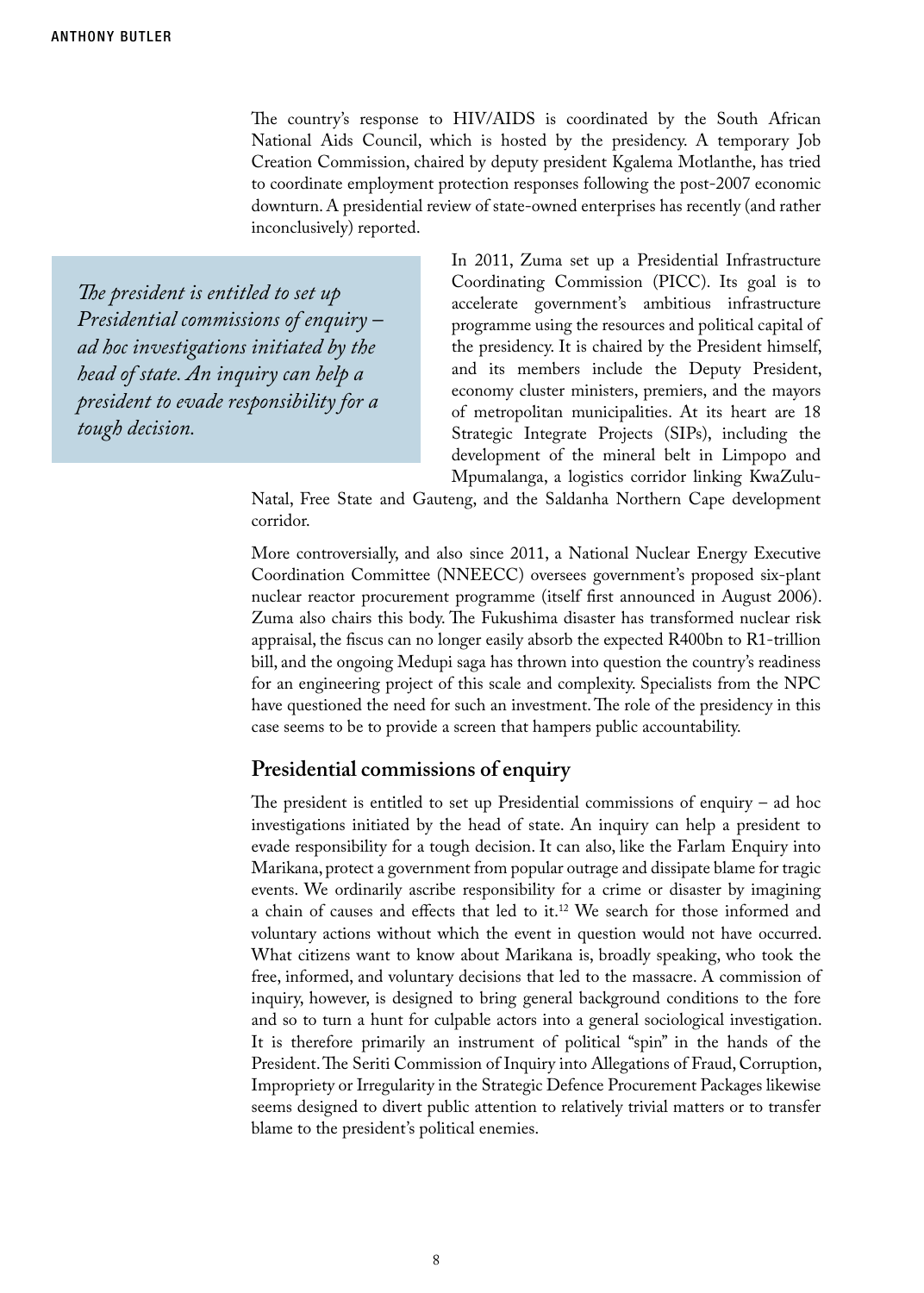The country's response to HIV/AIDS is coordinated by the South African National Aids Council, which is hosted by the presidency. A temporary Job Creation Commission, chaired by deputy president Kgalema Motlanthe, has tried to coordinate employment protection responses following the post-2007 economic downturn. A presidential review of state-owned enterprises has recently (and rather inconclusively) reported.

*The president is entitled to set up Presidential commissions of enquiry – ad hoc investigations initiated by the head of state. An inquiry can help a president to evade responsibility for a tough decision.*

In 2011, Zuma set up a Presidential Infrastructure Coordinating Commission (PICC). Its goal is to accelerate government's ambitious infrastructure programme using the resources and political capital of the presidency. It is chaired by the President himself, and its members include the Deputy President, economy cluster ministers, premiers, and the mayors of metropolitan municipalities. At its heart are 18 Strategic Integrate Projects (SIPs), including the development of the mineral belt in Limpopo and Mpumalanga, a logistics corridor linking KwaZulu-

Natal, Free State and Gauteng, and the Saldanha Northern Cape development corridor.

More controversially, and also since 2011, a National Nuclear Energy Executive Coordination Committee (NNEECC) oversees government's proposed six-plant nuclear reactor procurement programme (itself first announced in August 2006). Zuma also chairs this body. The Fukushima disaster has transformed nuclear risk appraisal, the fiscus can no longer easily absorb the expected R400bn to R1-trillion bill, and the ongoing Medupi saga has thrown into question the country's readiness for an engineering project of this scale and complexity. Specialists from the NPC have questioned the need for such an investment. The role of the presidency in this case seems to be to provide a screen that hampers public accountability.

#### **Presidential commissions of enquiry**

The president is entitled to set up Presidential commissions of enquiry – ad hoc investigations initiated by the head of state. An inquiry can help a president to evade responsibility for a tough decision. It can also, like the Farlam Enquiry into Marikana, protect a government from popular outrage and dissipate blame for tragic events. We ordinarily ascribe responsibility for a crime or disaster by imagining a chain of causes and effects that led to it.12 We search for those informed and voluntary actions without which the event in question would not have occurred. What citizens want to know about Marikana is, broadly speaking, who took the free, informed, and voluntary decisions that led to the massacre. A commission of inquiry, however, is designed to bring general background conditions to the fore and so to turn a hunt for culpable actors into a general sociological investigation. It is therefore primarily an instrument of political "spin" in the hands of the President. The Seriti Commission of Inquiry into Allegations of Fraud, Corruption, Impropriety or Irregularity in the Strategic Defence Procurement Packages likewise seems designed to divert public attention to relatively trivial matters or to transfer blame to the president's political enemies.